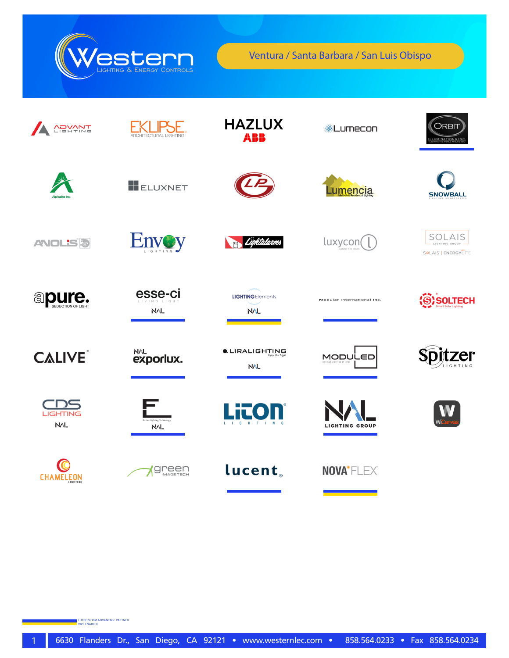

Ventura / Santa Barbara / San Luis Obispo

| <b>ADVANT</b>             | <b>ARCHITECTURAL LIGHTING</b>             | <b>HAZLUX</b><br>ABB                   | ※Lumecon                   | <b>ORBIT</b><br>LLUMINATIONS INC                |
|---------------------------|-------------------------------------------|----------------------------------------|----------------------------|-------------------------------------------------|
| Alphalite Inc.            | ELUXNET                                   |                                        | umencia                    | <b>SNOWBALL</b>                                 |
| <b>ANOL'S<sup>5</sup></b> | <b>Envoy</b><br>L I G H T I N G           | Lightalarms                            | luxycon(                   | SOLAIS<br>LIGHTING GROUP<br>SSLAIS   ENERGYLITE |
| <b>apure.</b>             | esse-ci<br>VING I IGH<br><b>NVL</b>       | <b>LIGHTINGElements</b><br><b>NAL</b>  | Modular International Inc. | SOLTECH                                         |
| <b>CALIVE</b>             | <b>NAL</b><br><b>exporiux.</b>            | $\bullet$ , LIRALIGHTING<br><b>NVL</b> | MODULED                    | er                                              |
| <b>LIGHTING</b><br>NAL    | Italian Liehtine Technology<br><b>NVL</b> | Lito<br>G<br>H                         | <b>LIGHTING GROUP</b>      |                                                 |
| <b>CHAMELEON</b>          | reen<br>MAGETECH                          | <b>lucent</b>                          | NOVA*FLEX®                 |                                                 |

LUTRON OEM ADVANTAGE PARTNER VIVE ENABLED